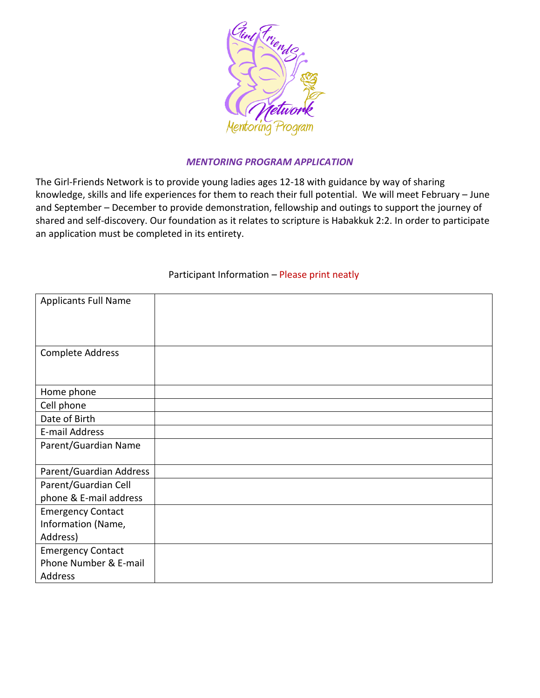

## *MENTORING PROGRAM APPLICATION*

The Girl-Friends Network is to provide young ladies ages 12-18 with guidance by way of sharing knowledge, skills and life experiences for them to reach their full potential. We will meet February – June and September – December to provide demonstration, fellowship and outings to support the journey of shared and self-discovery. Our foundation as it relates to scripture is Habakkuk 2:2. In order to participate an application must be completed in its entirety.

| <b>Applicants Full Name</b>                    |  |
|------------------------------------------------|--|
| Complete Address                               |  |
| Home phone                                     |  |
| Cell phone                                     |  |
| Date of Birth                                  |  |
| E-mail Address                                 |  |
| Parent/Guardian Name                           |  |
| Parent/Guardian Address                        |  |
| Parent/Guardian Cell<br>phone & E-mail address |  |
| <b>Emergency Contact</b>                       |  |
| Information (Name,                             |  |
| Address)                                       |  |
| <b>Emergency Contact</b>                       |  |
| Phone Number & E-mail                          |  |
| Address                                        |  |

## Participant Information – Please print neatly